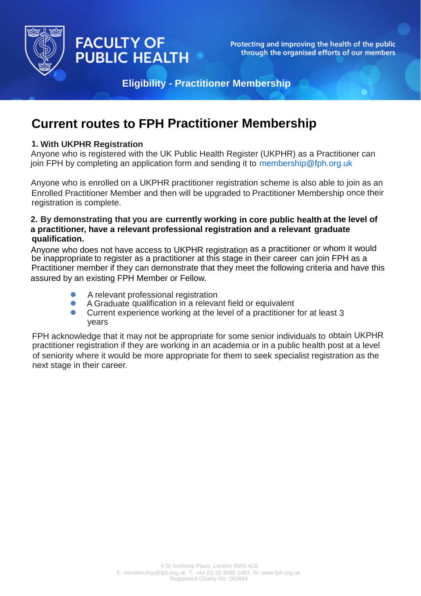

# **FACULTY OF PUBLIC HEALTH**

Protecting and improving the health of the public through the organised efforts of our members

**Eligibility - Practitioner Membership**

## **Current routes to FPH Practitioner Membership**

### **1. With UKPH[R Registration](mailto:membership@fph.org.uk)**

Anyone who is registered with the UK Public Health Register (UKPHR) as a Practitioner can join FPH by completing an application form and sending it to membership@fph.org.uk

Anyone who is enrolled on a UKPHR practitioner registration scheme is also able to join as an Enrolled Practitioner Member and then will be upgraded to Practitioner Membership once their registration is complete.

#### **2. By demonstrating that you are currently working in core public health at the level of a practitioner, have a relevant professional registration and a relevant graduate qualification.**

Anyone who does not have access to UKPHR registration as a practitioner or whom it would be inappropriate to register as a practitioner at this stage in their career can join FPH as a Practitioner member if they can demonstrate that they meet the following criteria and have this assured by an existing FPH Member or Fellow.

- $\bullet$ A relevant professional registration
- $\bullet$ A Graduate qualification in a relevant field or equivalent
- $\blacksquare$ Current experience working at the level of a practitioner for at least 3 years

FPH acknowledge that it may not be appropriate for some senior individuals to obtain UKPHR practitioner registration if they are working in an academia or in a public health post at a level of seniority where it would be more appropriate for them to seek specialist registration as the next stage in their career.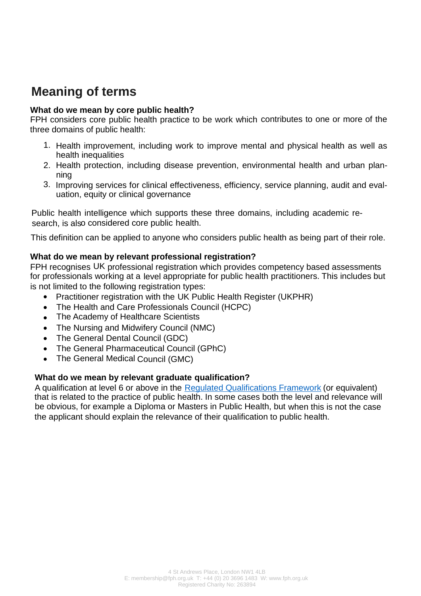## **Meaning of terms**

### **What do we mean by core public health?**

FPH considers core public health practice to be work which contributes to one or more of the three domains of public health:

- 1. Health improvement, including work to improve mental and physical health as well as health inequalities
- 2. Health protection, including disease prevention, environmental health and urban planning
- 3. [Improving services for clinical effectiveness, efficiency, service planning, audit and eva](https://www.healthcareers.nhs.uk/explore-roles/public-health/public-health-practitioner)luation, equity or clinical governance

Public [health intelligence which supports these three domains, including academic](https://assets.publishing.service.gov.uk/government/uploads/system/uploads/attachment_data/file/507518/CfWI_Mapping_the_core_public_health_workforce.pdf) research, is also considered core public health.

This definition can be applied to anyone who considers public health as being part of their role.

### **[What do we mean by relevant professional registration?](https://www.healthcareers.nhs.uk/about/resources/public-health-skills-and-knowledge-framework)**

FPH recognises UK professional registration which provides competency based assessments for professionals working at a level appropriate for public health practitioners. This includes but is not limited to the following registration types:

- Practitioner registration with the UK Public Health Register (UKPHR)
- The Health and Care Professionals Council (HCPC)
- The Academy of Healthcare Scientists
- The Nursing and Midwifery Council (NMC)
- The General Dental Council (GDC)
- The General Pharmaceutical Council (GPhC)
- The General Medical Council (GMC)

#### **What do we mean by relevant graduate qualification?**

A qualification at level 6 or above in the Regulated Qualifications Framework (or equivalent) that is related to the practice of public health. In some cases both the level and relevance will be obvious, for example a Diploma or Masters in Public Health, but when this is not the case the applicant should explain the relevance of their qualification to public health.